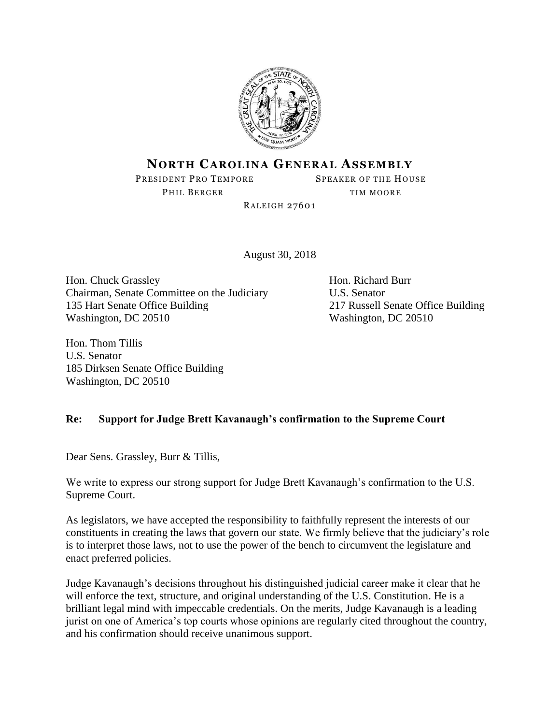

## **NORTH CAROLINA GENERAL ASSEMBLY**

PRESIDENT PRO TEMPORE SPEAKER OF THE HOUSE

PHIL BERGER TIM MOORE

**RALEIGH 27601** 

August 30, 2018

Hon. Chuck Grassley Hon. Richard Burr Chairman, Senate Committee on the Judiciary U.S. Senator 135 Hart Senate Office Building 217 Russell Senate Office Building Washington, DC 20510 Washington, DC 20510

Hon. Thom Tillis U.S. Senator 185 Dirksen Senate Office Building Washington, DC 20510

## **Re: Support for Judge Brett Kavanaugh's confirmation to the Supreme Court**

Dear Sens. Grassley, Burr & Tillis,

We write to express our strong support for Judge Brett Kavanaugh's confirmation to the U.S. Supreme Court.

As legislators, we have accepted the responsibility to faithfully represent the interests of our constituents in creating the laws that govern our state. We firmly believe that the judiciary's role is to interpret those laws, not to use the power of the bench to circumvent the legislature and enact preferred policies.

Judge Kavanaugh's decisions throughout his distinguished judicial career make it clear that he will enforce the text, structure, and original understanding of the U.S. Constitution. He is a brilliant legal mind with impeccable credentials. On the merits, Judge Kavanaugh is a leading jurist on one of America's top courts whose opinions are regularly cited throughout the country, and his confirmation should receive unanimous support.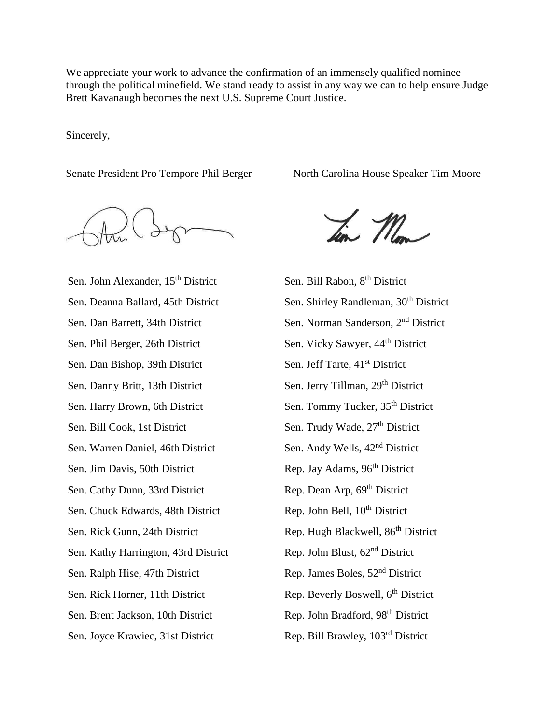We appreciate your work to advance the confirmation of an immensely qualified nominee through the political minefield. We stand ready to assist in any way we can to help ensure Judge Brett Kavanaugh becomes the next U.S. Supreme Court Justice.

Sincerely,

Sen. John Alexander, 15<sup>th</sup> District Sen. Bill Rabon, 8<sup>th</sup> District Sen. Phil Berger, 26th District Sen. Vicky Sawyer, 44<sup>th</sup> District Sen. Dan Bishop, 39th District Sen. Jeff Tarte, 41<sup>st</sup> District Sen. Danny Britt, 13th District Sen. Jerry Tillman, 29<sup>th</sup> District Sen. Harry Brown, 6th District Sen. Tommy Tucker, 35<sup>th</sup> District Sen. Bill Cook, 1st District Sen. Trudy Wade, 27<sup>th</sup> District Sen. Warren Daniel, 46th District Sen. Andy Wells, 42<sup>nd</sup> District Sen. Jim Davis, 50th District Rep. Jay Adams, 96<sup>th</sup> District Sen. Cathy Dunn, 33rd District Rep. Dean Arp, 69<sup>th</sup> District Sen. Chuck Edwards, 48th District Rep. John Bell, 10<sup>th</sup> District Sen. Kathy Harrington, 43rd District Rep. John Blust, 62<sup>nd</sup> District Sen. Ralph Hise, 47th District Rep. James Boles, 52<sup>nd</sup> District Sen. Rick Horner, 11th District Rep. Beverly Boswell, 6<sup>th</sup> District Sen. Brent Jackson, 10th District Rep. John Bradford, 98<sup>th</sup> District Sen. Joyce Krawiec, 31st District Rep. Bill Brawley, 103<sup>rd</sup> District

Senate President Pro Tempore Phil Berger North Carolina House Speaker Tim Moore

Jim May

Sen. Deanna Ballard, 45th District Sen. Shirley Randleman, 30<sup>th</sup> District Sen. Dan Barrett, 34th District Sen. Norman Sanderson, 2<sup>nd</sup> District Sen. Rick Gunn, 24th District Rep. Hugh Blackwell, 86<sup>th</sup> District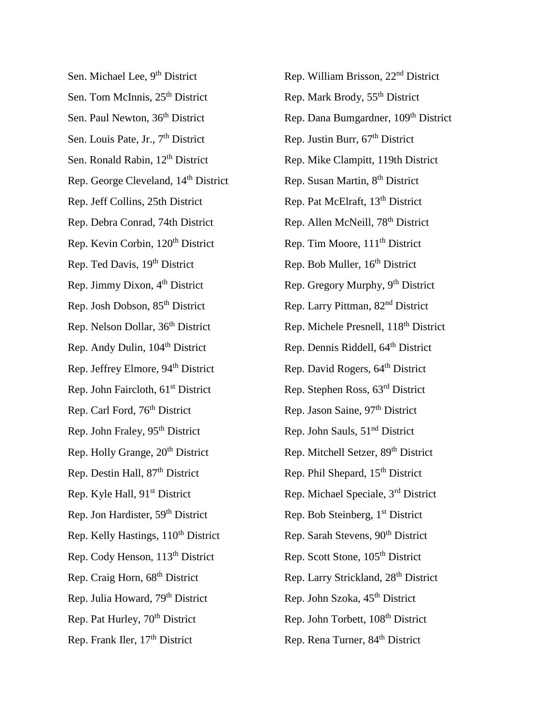Sen. Michael Lee, 9<sup>th</sup> District Rep. William Brisson, 22<sup>nd</sup> District Sen. Tom McInnis,  $25<sup>th</sup>$  District Rep. Mark Brody,  $55<sup>th</sup>$  District Sen. Louis Pate, Jr.,  $7<sup>th</sup>$  District Rep. Justin Burr,  $67<sup>th</sup>$  District Rep. George Cleveland, 14<sup>th</sup> District Rep. Susan Martin, 8<sup>th</sup> District Rep. Jeff Collins, 25th District Rep. Pat McElraft, 13<sup>th</sup> District Rep. Debra Conrad, 74th District Rep. Allen McNeill, 78<sup>th</sup> District Rep. Kevin Corbin, 120<sup>th</sup> District Rep. Tim Moore, 111<sup>th</sup> District Rep. Ted Davis, 19<sup>th</sup> District Rep. Bob Muller, 16<sup>th</sup> District Rep. Josh Dobson, 85<sup>th</sup> District Rep. Larry Pittman, 82<sup>nd</sup> District Rep. Andy Dulin, 104<sup>th</sup> District Rep. Dennis Riddell, 64<sup>th</sup> District Rep. Jeffrey Elmore, 94<sup>th</sup> District Rep. David Rogers, 64<sup>th</sup> District Rep. John Faircloth,  $61<sup>st</sup>$  District Rep. Stephen Ross,  $63<sup>rd</sup>$  District Rep. Carl Ford, 76<sup>th</sup> District Rep. Jason Saine, 97<sup>th</sup> District Rep. John Fraley,  $95<sup>th</sup>$  District Rep. John Sauls,  $51<sup>nd</sup>$  District Rep. Holly Grange, 20<sup>th</sup> District Rep. Mitchell Setzer, 89<sup>th</sup> District Rep. Destin Hall, 87<sup>th</sup> District Rep. Phil Shepard, 15<sup>th</sup> District Rep. Jon Hardister, 59<sup>th</sup> District Rep. Bob Steinberg, 1<sup>st</sup> District Rep. Kelly Hastings, 110<sup>th</sup> District Rep. Sarah Stevens, 90<sup>th</sup> District Rep. Cody Henson, 113<sup>th</sup> District Rep. Scott Stone, 105<sup>th</sup> District Rep. Julia Howard,  $79<sup>th</sup>$  District Rep. John Szoka,  $45<sup>th</sup>$  District Rep. Pat Hurley, 70<sup>th</sup> District Rep. John Torbett, 108<sup>th</sup> District Rep. Frank Iler, 17<sup>th</sup> District Rep. Rena Turner, 84<sup>th</sup> District

Sen. Paul Newton, 36<sup>th</sup> District Rep. Dana Bumgardner, 109<sup>th</sup> District Sen. Ronald Rabin, 12<sup>th</sup> District Rep. Mike Clampitt, 119th District Rep. Jimmy Dixon,  $4<sup>th</sup>$  District Rep. Gregory Murphy,  $9<sup>th</sup>$  District Rep. Nelson Dollar, 36<sup>th</sup> District Rep. Michele Presnell, 118<sup>th</sup> District Rep. Kyle Hall, 91<sup>st</sup> District Rep. Michael Speciale, 3<sup>rd</sup> District Rep. Craig Horn, 68<sup>th</sup> District Rep. Larry Strickland, 28<sup>th</sup> District